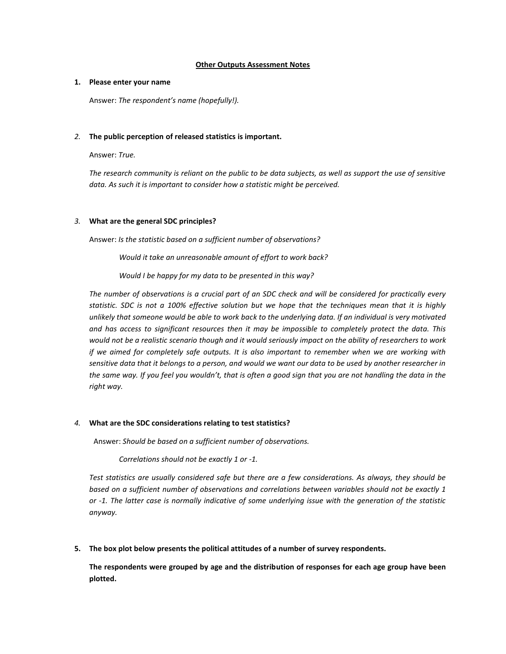## **Other Outputs Assessment Notes**

## **1. Please enter your name**

Answer: *The respondent's name (hopefully!).*

## *2.* **The public perception of released statistics is important.**

Answer: *True.*

*The research community is reliant on the public to be data subjects, as well as support the use of sensitive data. As such it is important to consider how a statistic might be perceived.* 

## *3.* **What are the general SDC principles?**

Answer: *Is the statistic based on a sufficient number of observations?*

*Would it take an unreasonable amount of effort to work back?*

*Would I be happy for my data to be presented in this way?*

*The number of observations is a crucial part of an SDC check and will be considered for practically every statistic. SDC is not a 100% effective solution but we hope that the techniques mean that it is highly unlikely that someone would be able to work back to the underlying data. If an individual is very motivated and has access to significant resources then it may be impossible to completely protect the data. This would not be a realistic scenario though and it would seriously impact on the ability of researchers to work if we aimed for completely safe outputs. It is also important to remember when we are working with sensitive data that it belongs to a person, and would we want our data to be used by another researcher in the same way. If you feel you wouldn't, that is often a good sign that you are not handling the data in the right way.*

# *4.* **What are the SDC considerations relating to test statistics?**

Answer: *Should be based on a sufficient number of observations.*

*Correlations should not be exactly 1 or -1.*

*Test statistics are usually considered safe but there are a few considerations. As always, they should be based on a sufficient number of observations and correlations between variables should not be exactly 1 or -1. The latter case is normally indicative of some underlying issue with the generation of the statistic anyway.*

**5. The box plot below presents the political attitudes of a number of survey respondents.**

**The respondents were grouped by age and the distribution of responses for each age group have been plotted.**